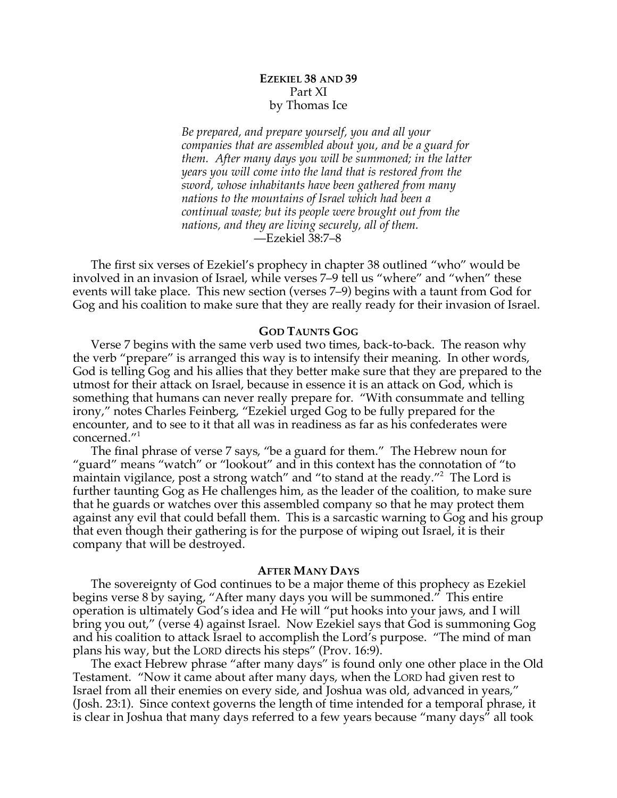# **EZEKIEL 38 AND 39** Part XI by Thomas Ice

*Be prepared, and prepare yourself, you and all your companies that are assembled about you, and be a guard for them. After many days you will be summoned; in the latter years you will come into the land that is restored from the sword, whose inhabitants have been gathered from many nations to the mountains of Israel which had been a continual waste; but its people were brought out from the nations, and they are living securely, all of them.* —Ezekiel 38:7–8

The first six verses of Ezekiel's prophecy in chapter 38 outlined "who" would be involved in an invasion of Israel, while verses 7–9 tell us "where" and "when" these events will take place. This new section (verses 7–9) begins with a taunt from God for Gog and his coalition to make sure that they are really ready for their invasion of Israel.

#### **GOD TAUNTS GOG**

Verse 7 begins with the same verb used two times, back-to-back. The reason why the verb "prepare" is arranged this way is to intensify their meaning. In other words, God is telling Gog and his allies that they better make sure that they are prepared to the utmost for their attack on Israel, because in essence it is an attack on God, which is something that humans can never really prepare for. "With consummate and telling irony," notes Charles Feinberg, "Ezekiel urged Gog to be fully prepared for the encounter, and to see to it that all was in readiness as far as his confederates were concerned."1

The final phrase of verse 7 says, "be a guard for them." The Hebrew noun for "guard" means "watch" or "lookout" and in this context has the connotation of "to maintain vigilance, post a strong watch" and "to stand at the ready."<sup>2</sup> The Lord is further taunting Gog as He challenges him, as the leader of the coalition, to make sure that he guards or watches over this assembled company so that he may protect them against any evil that could befall them. This is a sarcastic warning to Gog and his group that even though their gathering is for the purpose of wiping out Israel, it is their company that will be destroyed.

#### **AFTER MANY DAYS**

The sovereignty of God continues to be a major theme of this prophecy as Ezekiel begins verse 8 by saying, "After many days you will be summoned." This entire operation is ultimately God's idea and He will "put hooks into your jaws, and I will bring you out," (verse 4) against Israel. Now Ezekiel says that God is summoning Gog and his coalition to attack Israel to accomplish the Lord's purpose. "The mind of man plans his way, but the LORD directs his steps" (Prov. 16:9).

The exact Hebrew phrase "after many days" is found only one other place in the Old Testament. "Now it came about after many days, when the LORD had given rest to Israel from all their enemies on every side, and Joshua was old, advanced in years," (Josh. 23:1). Since context governs the length of time intended for a temporal phrase, it is clear in Joshua that many days referred to a few years because "many days" all took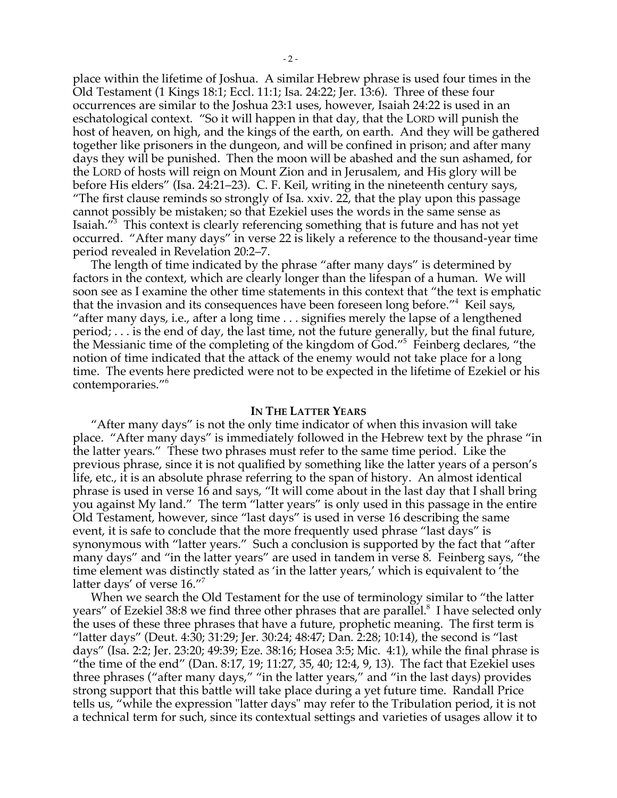place within the lifetime of Joshua. A similar Hebrew phrase is used four times in the Old Testament (1 Kings 18:1; Eccl. 11:1; Isa. 24:22; Jer. 13:6). Three of these four occurrences are similar to the Joshua 23:1 uses, however, Isaiah 24:22 is used in an eschatological context. "So it will happen in that day, that the LORD will punish the host of heaven, on high, and the kings of the earth, on earth. And they will be gathered together like prisoners in the dungeon, and will be confined in prison; and after many days they will be punished. Then the moon will be abashed and the sun ashamed, for the LORD of hosts will reign on Mount Zion and in Jerusalem, and His glory will be before His elders" (Isa. 24:21–23). C. F. Keil, writing in the nineteenth century says, "The first clause reminds so strongly of Isa. xxiv. 22, that the play upon this passage cannot possibly be mistaken; so that Ezekiel uses the words in the same sense as Isaiah."3 This context is clearly referencing something that is future and has not yet occurred. "After many days" in verse 22 is likely a reference to the thousand-year time period revealed in Revelation 20:2–7.

The length of time indicated by the phrase "after many days" is determined by factors in the context, which are clearly longer than the lifespan of a human. We will soon see as I examine the other time statements in this context that "the text is emphatic that the invasion and its consequences have been foreseen long before."4 Keil says, "after many days, i.e., after a long time . . . signifies merely the lapse of a lengthened period; . . . is the end of day, the last time, not the future generally, but the final future, the Messianic time of the completing of the kingdom of God."5 Feinberg declares, "the notion of time indicated that the attack of the enemy would not take place for a long time. The events here predicted were not to be expected in the lifetime of Ezekiel or his contemporaries."6

#### **IN THE LATTER YEARS**

"After many days" is not the only time indicator of when this invasion will take place. "After many days" is immediately followed in the Hebrew text by the phrase "in the latter years." These two phrases must refer to the same time period. Like the previous phrase, since it is not qualified by something like the latter years of a person's life, etc., it is an absolute phrase referring to the span of history. An almost identical phrase is used in verse 16 and says, "It will come about in the last day that I shall bring you against My land." The term "latter years" is only used in this passage in the entire Old Testament, however, since "last days" is used in verse 16 describing the same event, it is safe to conclude that the more frequently used phrase "last days" is synonymous with "latter years." Such a conclusion is supported by the fact that "after many days" and "in the latter years" are used in tandem in verse 8. Feinberg says, "the time element was distinctly stated as 'in the latter years,' which is equivalent to 'the latter days' of verse 16."7

When we search the Old Testament for the use of terminology similar to "the latter years" of Ezekiel 38:8 we find three other phrases that are parallel.<sup>8</sup> I have selected only the uses of these three phrases that have a future, prophetic meaning. The first term is "latter days" (Deut. 4:30; 31:29; Jer. 30:24; 48:47; Dan. 2:28; 10:14), the second is "last days" (Isa. 2:2; Jer. 23:20; 49:39; Eze. 38:16; Hosea 3:5; Mic. 4:1), while the final phrase is "the time of the end" (Dan. 8:17, 19; 11:27, 35, 40; 12:4, 9, 13). The fact that Ezekiel uses three phrases ("after many days," "in the latter years," and "in the last days) provides strong support that this battle will take place during a yet future time. Randall Price tells us, "while the expression "latter days" may refer to the Tribulation period, it is not a technical term for such, since its contextual settings and varieties of usages allow it to